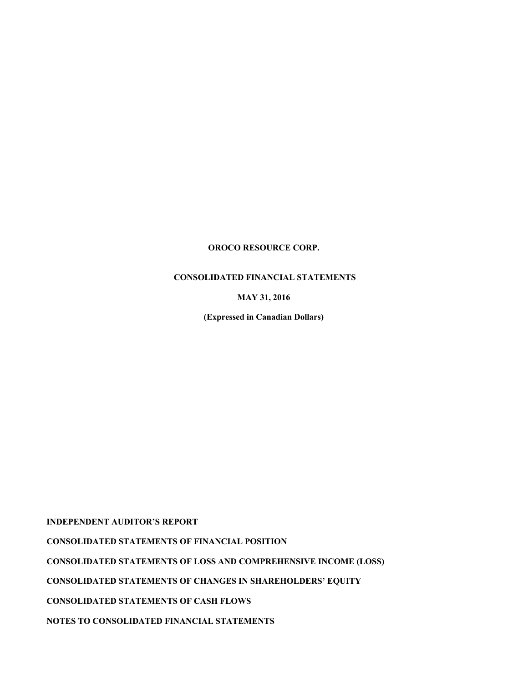# **OROCO RESOURCE CORP.**

# **CONSOLIDATED FINANCIAL STATEMENTS**

#### **MAY 31, 2016**

**(Expressed in Canadian Dollars)** 

**INDEPENDENT AUDITOR'S REPORT** 

**CONSOLIDATED STATEMENTS OF FINANCIAL POSITION** 

**CONSOLIDATED STATEMENTS OF LOSS AND COMPREHENSIVE INCOME (LOSS)** 

**CONSOLIDATED STATEMENTS OF CHANGES IN SHAREHOLDERS' EQUITY** 

**CONSOLIDATED STATEMENTS OF CASH FLOWS** 

**NOTES TO CONSOLIDATED FINANCIAL STATEMENTS**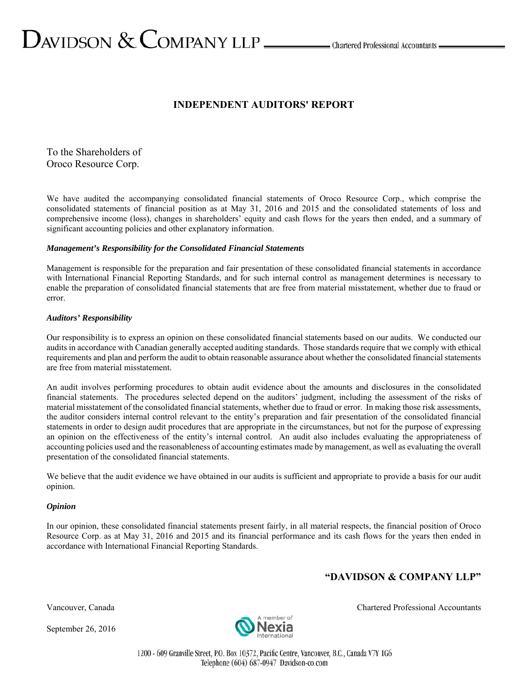# $D$ AVIDSON  $\&$  COMPANY LLP  $\_\_\_\_\$ Chartered Professional Accountants

# **INDEPENDENT AUDITORS' REPORT**

To the Shareholders of Oroco Resource Corp.

We have audited the accompanying consolidated financial statements of Oroco Resource Corp., which comprise the consolidated statements of financial position as at May 31, 2016 and 2015 and the consolidated statements of loss and comprehensive income (loss), changes in shareholders' equity and cash flows for the years then ended, and a summary of significant accounting policies and other explanatory information.

#### *Management's Responsibility for the Consolidated Financial Statements*

Management is responsible for the preparation and fair presentation of these consolidated financial statements in accordance with International Financial Reporting Standards, and for such internal control as management determines is necessary to enable the preparation of consolidated financial statements that are free from material misstatement, whether due to fraud or error.

#### *Auditors' Responsibility*

Our responsibility is to express an opinion on these consolidated financial statements based on our audits. We conducted our audits in accordance with Canadian generally accepted auditing standards. Those standards require that we comply with ethical requirements and plan and perform the audit to obtain reasonable assurance about whether the consolidated financial statements are free from material misstatement.

An audit involves performing procedures to obtain audit evidence about the amounts and disclosures in the consolidated financial statements. The procedures selected depend on the auditors' judgment, including the assessment of the risks of material misstatement of the consolidated financial statements, whether due to fraud or error. In making those risk assessments, the auditor considers internal control relevant to the entity's preparation and fair presentation of the consolidated financial statements in order to design audit procedures that are appropriate in the circumstances, but not for the purpose of expressing an opinion on the effectiveness of the entity's internal control. An audit also includes evaluating the appropriateness of accounting policies used and the reasonableness of accounting estimates made by management, as well as evaluating the overall presentation of the consolidated financial statements.

We believe that the audit evidence we have obtained in our audits is sufficient and appropriate to provide a basis for our audit opinion.

#### *Opinion*

In our opinion, these consolidated financial statements present fairly, in all material respects, the financial position of Oroco Resource Corp. as at May 31, 2016 and 2015 and its financial performance and its cash flows for the years then ended in accordance with International Financial Reporting Standards.

# **"DAVIDSON & COMPANY LLP"**

September 26, 2016



Vancouver, Canada Chartered Professional Accountants

1200 - 609 Granville Street, P.O. Box 10372, Pacific Centre, Vancouver, B.C., Canada V7Y 1G6 Telephone (604) 687-0947 Davidson-co.com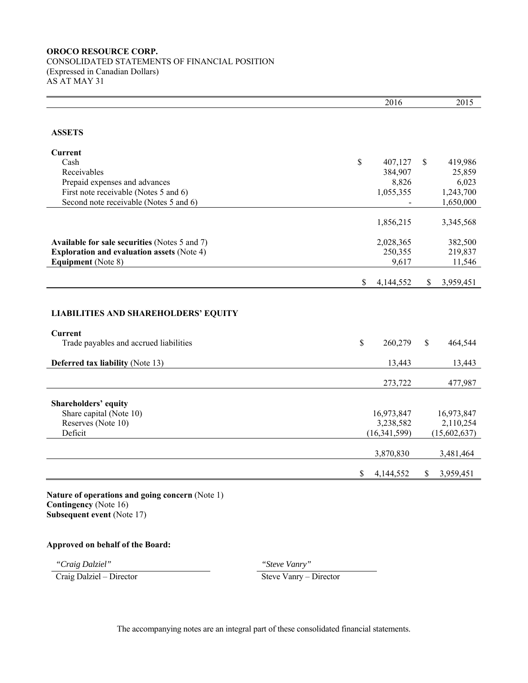#### **OROCO RESOURCE CORP.**

CONSOLIDATED STATEMENTS OF FINANCIAL POSITION (Expressed in Canadian Dollars) AS AT MAY 31

|                                                          |               | 2016                    |               | 2015                    |
|----------------------------------------------------------|---------------|-------------------------|---------------|-------------------------|
|                                                          |               |                         |               |                         |
| <b>ASSETS</b>                                            |               |                         |               |                         |
| Current                                                  |               |                         |               |                         |
| Cash                                                     | $\mathcal{S}$ | 407,127                 | \$            | 419,986                 |
| Receivables                                              |               | 384,907                 |               | 25,859                  |
| Prepaid expenses and advances                            |               | 8,826                   |               | 6,023                   |
| First note receivable (Notes 5 and 6)                    |               | 1,055,355               |               | 1,243,700               |
| Second note receivable (Notes 5 and 6)                   |               |                         |               | 1,650,000               |
|                                                          |               | 1,856,215               |               | 3,345,568               |
| Available for sale securities (Notes 5 and 7)            |               | 2,028,365               |               | 382,500                 |
| <b>Exploration and evaluation assets (Note 4)</b>        |               | 250,355                 |               | 219,837                 |
| <b>Equipment</b> (Note 8)                                |               | 9,617                   |               | 11,546                  |
|                                                          | \$            |                         | \$            |                         |
|                                                          |               | 4,144,552               |               | 3,959,451               |
| <b>LIABILITIES AND SHAREHOLDERS' EQUITY</b>              |               |                         |               |                         |
| <b>Current</b><br>Trade payables and accrued liabilities | \$            | 260,279                 | $\mathcal{S}$ | 464,544                 |
| <b>Deferred tax liability (Note 13)</b>                  |               | 13,443                  |               | 13,443                  |
|                                                          |               | 273,722                 |               | 477,987                 |
|                                                          |               |                         |               |                         |
| Shareholders' equity                                     |               |                         |               |                         |
| Share capital (Note 10)<br>Reserves (Note 10)            |               | 16,973,847<br>3,238,582 |               | 16,973,847<br>2,110,254 |
| Deficit                                                  |               | (16, 341, 599)          |               | (15,602,637)            |
|                                                          |               |                         |               |                         |
|                                                          |               | 3,870,830               |               | 3,481,464               |
|                                                          | \$            | 4,144,552               | \$            | 3,959,451               |
|                                                          |               |                         |               |                         |

**Nature of operations and going concern** (Note 1) **Contingency** (Note 16) **Subsequent event** (Note 17)

# **Approved on behalf of the Board:**

*"Craig Dalziel" "Steve Vanry"* 

Craig Dalziel – Director Steve Vanry – Director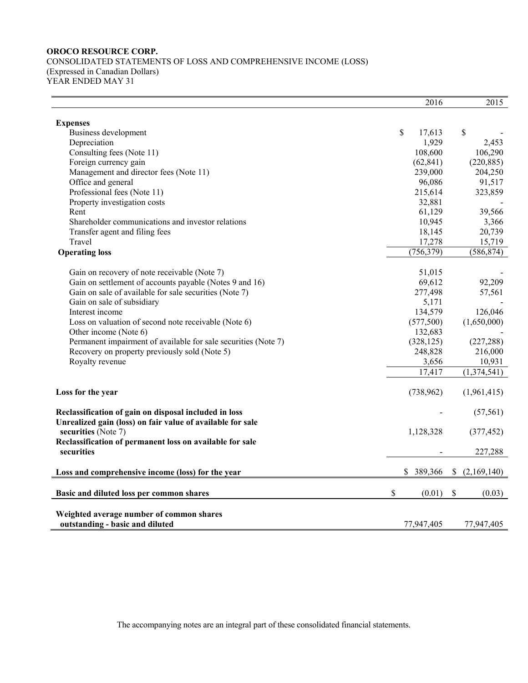# **OROCO RESOURCE CORP.**

CONSOLIDATED STATEMENTS OF LOSS AND COMPREHENSIVE INCOME (LOSS) (Expressed in Canadian Dollars) YEAR ENDED MAY 31

|                                                                | 2016         | 2015                                |
|----------------------------------------------------------------|--------------|-------------------------------------|
|                                                                |              |                                     |
| <b>Expenses</b>                                                | \$<br>17,613 | \$                                  |
| Business development                                           | 1,929        |                                     |
| Depreciation                                                   | 108,600      | 2,453                               |
| Consulting fees (Note 11)                                      |              | 106,290                             |
| Foreign currency gain                                          | (62, 841)    | (220, 885)                          |
| Management and director fees (Note 11)                         | 239,000      | 204,250                             |
| Office and general                                             | 96,086       | 91,517                              |
| Professional fees (Note 11)                                    | 215,614      | 323,859                             |
| Property investigation costs                                   | 32,881       |                                     |
| Rent                                                           | 61,129       | 39,566                              |
| Shareholder communications and investor relations              | 10,945       | 3,366                               |
| Transfer agent and filing fees                                 | 18,145       | 20,739                              |
| Travel                                                         | 17,278       | 15,719                              |
| <b>Operating loss</b>                                          | (756, 379)   | (586, 874)                          |
|                                                                |              |                                     |
| Gain on recovery of note receivable (Note 7)                   | 51,015       |                                     |
| Gain on settlement of accounts payable (Notes 9 and 16)        | 69,612       | 92,209                              |
| Gain on sale of available for sale securities (Note 7)         | 277,498      | 57,561                              |
| Gain on sale of subsidiary                                     | 5,171        |                                     |
| Interest income                                                | 134,579      | 126,046                             |
| Loss on valuation of second note receivable (Note 6)           | (577,500)    | (1,650,000)                         |
| Other income (Note 6)                                          | 132,683      |                                     |
| Permanent impairment of available for sale securities (Note 7) | (328, 125)   | (227, 288)                          |
| Recovery on property previously sold (Note 5)                  | 248,828      | 216,000                             |
| Royalty revenue                                                | 3,656        | 10,931                              |
|                                                                | 17,417       | (1,374,541)                         |
|                                                                |              |                                     |
| Loss for the year                                              | (738,962)    | (1,961,415)                         |
|                                                                |              |                                     |
| Reclassification of gain on disposal included in loss          |              | (57, 561)                           |
| Unrealized gain (loss) on fair value of available for sale     |              |                                     |
| securities (Note 7)                                            | 1,128,328    | (377, 452)                          |
| Reclassification of permanent loss on available for sale       |              |                                     |
| securities                                                     |              | 227,288                             |
|                                                                |              |                                     |
| Loss and comprehensive income (loss) for the year              | 389,366      | (2,169,140)<br>S.                   |
| Basic and diluted loss per common shares                       | \$<br>(0.01) | $\boldsymbol{\mathsf{S}}$<br>(0.03) |
|                                                                |              |                                     |
| Weighted average number of common shares                       |              |                                     |
| outstanding - basic and diluted                                | 77,947,405   | 77,947,405                          |
|                                                                |              |                                     |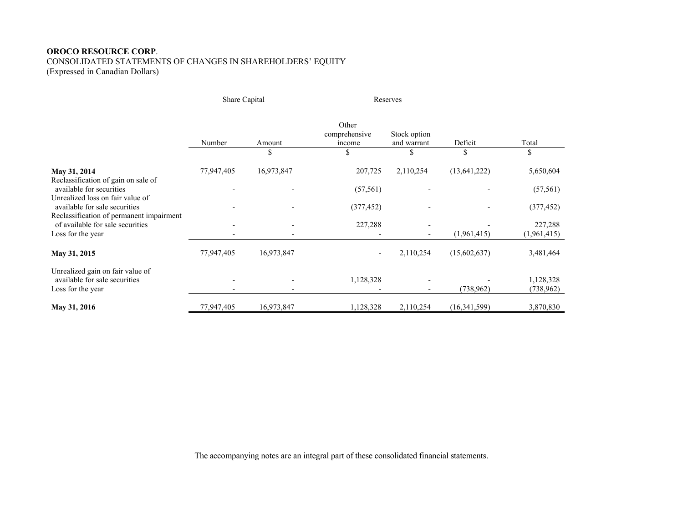## **OROCO RESOURCE CORP**. CONSOLIDATED STATEMENTS OF CHANGES IN SHAREHOLDERS' EQUITY (Expressed in Canadian Dollars)

|                                                                              | Share Capital |                 | Reserves                         |                             |                |             |
|------------------------------------------------------------------------------|---------------|-----------------|----------------------------------|-----------------------------|----------------|-------------|
|                                                                              | Number        | Amount          | Other<br>comprehensive<br>income | Stock option<br>and warrant | Deficit        | Total       |
|                                                                              |               | \$              | S                                | \$                          | \$             | \$          |
| May 31, 2014<br>Reclassification of gain on sale of                          | 77,947,405    | 16,973,847      | 207,725                          | 2,110,254                   | (13, 641, 222) | 5,650,604   |
| available for securities                                                     |               |                 | (57, 561)                        |                             |                | (57, 561)   |
| Unrealized loss on fair value of<br>available for sale securities            |               |                 | (377, 452)                       |                             |                | (377, 452)  |
| Reclassification of permanent impairment<br>of available for sale securities |               | $\qquad \qquad$ | 227,288                          |                             |                | 227,288     |
| Loss for the year                                                            |               |                 |                                  |                             | (1,961,415)    | (1,961,415) |
| May 31, 2015                                                                 | 77,947,405    | 16,973,847      |                                  | 2,110,254                   | (15,602,637)   | 3,481,464   |
| Unrealized gain on fair value of<br>available for sale securities            |               |                 | 1,128,328                        |                             |                | 1,128,328   |
| Loss for the year                                                            |               |                 |                                  |                             | (738, 962)     | (738, 962)  |
| May 31, 2016                                                                 | 77,947,405    | 16,973,847      | 1,128,328                        | 2,110,254                   | (16,341,599)   | 3,870,830   |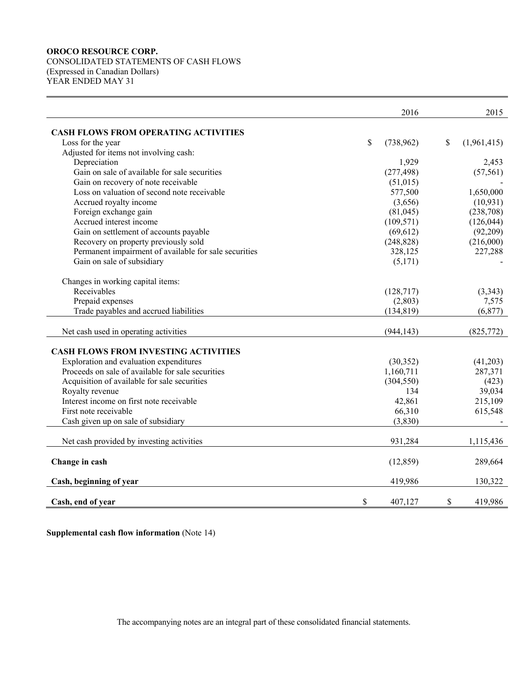## **OROCO RESOURCE CORP.**

CONSOLIDATED STATEMENTS OF CASH FLOWS (Expressed in Canadian Dollars) YEAR ENDED MAY 31

|                                                       | 2016            | 2015              |
|-------------------------------------------------------|-----------------|-------------------|
| <b>CASH FLOWS FROM OPERATING ACTIVITIES</b>           |                 |                   |
| Loss for the year                                     | \$<br>(738,962) | \$<br>(1,961,415) |
| Adjusted for items not involving cash:                |                 |                   |
| Depreciation                                          | 1,929           | 2,453             |
| Gain on sale of available for sale securities         | (277, 498)      | (57, 561)         |
| Gain on recovery of note receivable                   | (51,015)        |                   |
| Loss on valuation of second note receivable           | 577,500         | 1,650,000         |
| Accrued royalty income                                | (3,656)         | (10, 931)         |
| Foreign exchange gain                                 | (81,045)        | (238,708)         |
| Accrued interest income                               | (109, 571)      | (126, 044)        |
| Gain on settlement of accounts payable                | (69, 612)       | (92,209)          |
| Recovery on property previously sold                  | (248, 828)      | (216,000)         |
| Permanent impairment of available for sale securities | 328,125         | 227,288           |
| Gain on sale of subsidiary                            | (5,171)         |                   |
| Changes in working capital items:                     |                 |                   |
| Receivables                                           | (128, 717)      | (3,343)           |
| Prepaid expenses                                      | (2,803)         | 7,575             |
| Trade payables and accrued liabilities                | (134, 819)      | (6, 877)          |
| Net cash used in operating activities                 | (944, 143)      | (825,772)         |
| <b>CASH FLOWS FROM INVESTING ACTIVITIES</b>           |                 |                   |
| Exploration and evaluation expenditures               | (30, 352)       | (41,203)          |
| Proceeds on sale of available for sale securities     | 1,160,711       | 287,371           |
| Acquisition of available for sale securities          | (304, 550)      | (423)             |
| Royalty revenue                                       | 134             | 39,034            |
| Interest income on first note receivable              | 42,861          | 215,109           |
| First note receivable                                 | 66,310          | 615,548           |
| Cash given up on sale of subsidiary                   | (3,830)         |                   |
| Net cash provided by investing activities             | 931,284         | 1,115,436         |
| Change in cash                                        | (12, 859)       | 289,664           |
| Cash, beginning of year                               | 419,986         | 130,322           |
| Cash, end of year                                     | \$<br>407,127   | \$<br>419,986     |

**Supplemental cash flow information** (Note 14)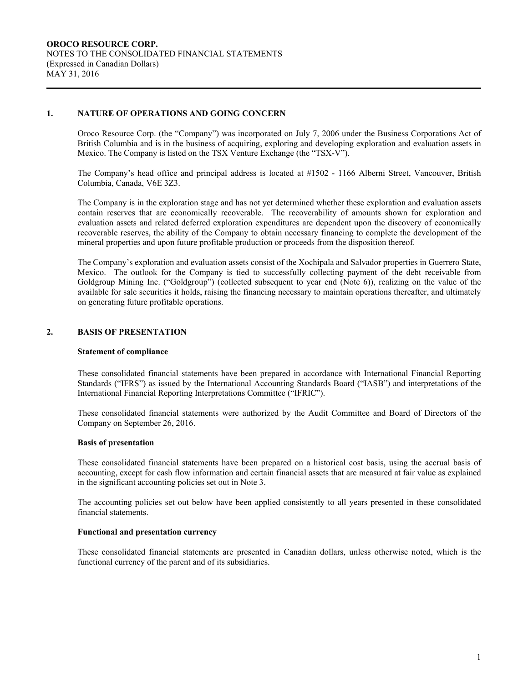# **1. NATURE OF OPERATIONS AND GOING CONCERN**

Oroco Resource Corp. (the "Company") was incorporated on July 7, 2006 under the Business Corporations Act of British Columbia and is in the business of acquiring, exploring and developing exploration and evaluation assets in Mexico. The Company is listed on the TSX Venture Exchange (the "TSX-V").

The Company's head office and principal address is located at #1502 - 1166 Alberni Street, Vancouver, British Columbia, Canada, V6E 3Z3.

The Company is in the exploration stage and has not yet determined whether these exploration and evaluation assets contain reserves that are economically recoverable. The recoverability of amounts shown for exploration and evaluation assets and related deferred exploration expenditures are dependent upon the discovery of economically recoverable reserves, the ability of the Company to obtain necessary financing to complete the development of the mineral properties and upon future profitable production or proceeds from the disposition thereof.

The Company's exploration and evaluation assets consist of the Xochipala and Salvador properties in Guerrero State, Mexico. The outlook for the Company is tied to successfully collecting payment of the debt receivable from Goldgroup Mining Inc. ("Goldgroup") (collected subsequent to year end (Note 6)), realizing on the value of the available for sale securities it holds, raising the financing necessary to maintain operations thereafter, and ultimately on generating future profitable operations.

## **2. BASIS OF PRESENTATION**

#### **Statement of compliance**

These consolidated financial statements have been prepared in accordance with International Financial Reporting Standards ("IFRS") as issued by the International Accounting Standards Board ("IASB") and interpretations of the International Financial Reporting Interpretations Committee ("IFRIC").

These consolidated financial statements were authorized by the Audit Committee and Board of Directors of the Company on September 26, 2016.

#### **Basis of presentation**

These consolidated financial statements have been prepared on a historical cost basis, using the accrual basis of accounting, except for cash flow information and certain financial assets that are measured at fair value as explained in the significant accounting policies set out in Note 3.

The accounting policies set out below have been applied consistently to all years presented in these consolidated financial statements.

#### **Functional and presentation currency**

These consolidated financial statements are presented in Canadian dollars, unless otherwise noted, which is the functional currency of the parent and of its subsidiaries.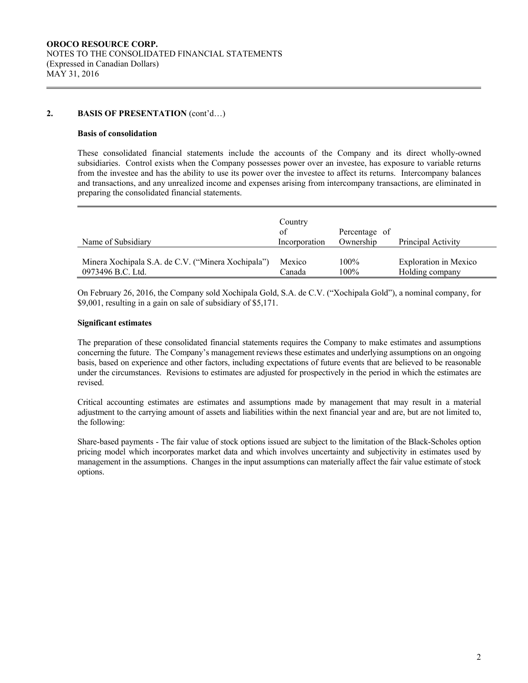## 2. **BASIS OF PRESENTATION** (cont'd...)

#### **Basis of consolidation**

These consolidated financial statements include the accounts of the Company and its direct wholly-owned subsidiaries. Control exists when the Company possesses power over an investee, has exposure to variable returns from the investee and has the ability to use its power over the investee to affect its returns. Intercompany balances and transactions, and any unrealized income and expenses arising from intercompany transactions, are eliminated in preparing the consolidated financial statements.

| Name of Subsidiary                                 | Country<br>of<br>Incorporation | Percentage of<br>Ownership | Principal Activity           |
|----------------------------------------------------|--------------------------------|----------------------------|------------------------------|
| Minera Xochipala S.A. de C.V. ("Minera Xochipala") | Mexico                         | $100\%$                    | <b>Exploration</b> in Mexico |
| 0973496 B.C. Ltd.                                  | Canada                         | 100%                       | Holding company              |

On February 26, 2016, the Company sold Xochipala Gold, S.A. de C.V. ("Xochipala Gold"), a nominal company, for \$9,001, resulting in a gain on sale of subsidiary of \$5,171.

#### **Significant estimates**

The preparation of these consolidated financial statements requires the Company to make estimates and assumptions concerning the future. The Company's management reviews these estimates and underlying assumptions on an ongoing basis, based on experience and other factors, including expectations of future events that are believed to be reasonable under the circumstances. Revisions to estimates are adjusted for prospectively in the period in which the estimates are revised.

Critical accounting estimates are estimates and assumptions made by management that may result in a material adjustment to the carrying amount of assets and liabilities within the next financial year and are, but are not limited to, the following:

Share-based payments - The fair value of stock options issued are subject to the limitation of the Black-Scholes option pricing model which incorporates market data and which involves uncertainty and subjectivity in estimates used by management in the assumptions. Changes in the input assumptions can materially affect the fair value estimate of stock options.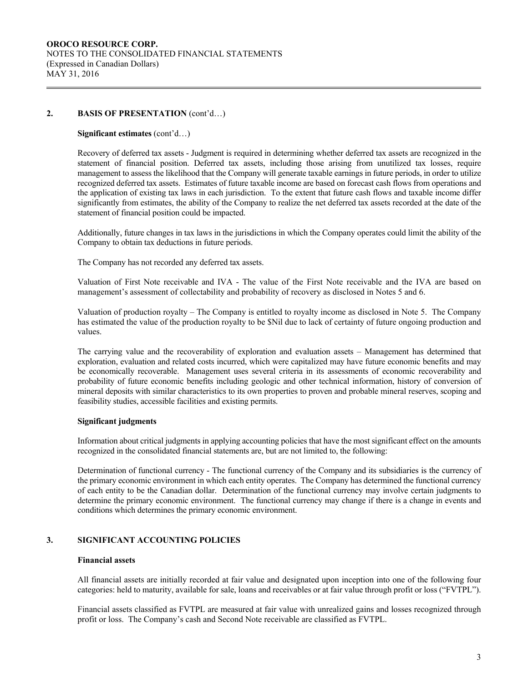## 2. **BASIS OF PRESENTATION** (cont'd...)

#### **Significant estimates** (cont'd…)

Recovery of deferred tax assets - Judgment is required in determining whether deferred tax assets are recognized in the statement of financial position. Deferred tax assets, including those arising from unutilized tax losses, require management to assess the likelihood that the Company will generate taxable earnings in future periods, in order to utilize recognized deferred tax assets. Estimates of future taxable income are based on forecast cash flows from operations and the application of existing tax laws in each jurisdiction. To the extent that future cash flows and taxable income differ significantly from estimates, the ability of the Company to realize the net deferred tax assets recorded at the date of the statement of financial position could be impacted.

Additionally, future changes in tax laws in the jurisdictions in which the Company operates could limit the ability of the Company to obtain tax deductions in future periods.

The Company has not recorded any deferred tax assets.

Valuation of First Note receivable and IVA - The value of the First Note receivable and the IVA are based on management's assessment of collectability and probability of recovery as disclosed in Notes 5 and 6.

Valuation of production royalty – The Company is entitled to royalty income as disclosed in Note 5. The Company has estimated the value of the production royalty to be \$Nil due to lack of certainty of future ongoing production and values.

The carrying value and the recoverability of exploration and evaluation assets – Management has determined that exploration, evaluation and related costs incurred, which were capitalized may have future economic benefits and may be economically recoverable. Management uses several criteria in its assessments of economic recoverability and probability of future economic benefits including geologic and other technical information, history of conversion of mineral deposits with similar characteristics to its own properties to proven and probable mineral reserves, scoping and feasibility studies, accessible facilities and existing permits.

#### **Significant judgments**

Information about critical judgments in applying accounting policies that have the most significant effect on the amounts recognized in the consolidated financial statements are, but are not limited to, the following:

Determination of functional currency - The functional currency of the Company and its subsidiaries is the currency of the primary economic environment in which each entity operates. The Company has determined the functional currency of each entity to be the Canadian dollar. Determination of the functional currency may involve certain judgments to determine the primary economic environment. The functional currency may change if there is a change in events and conditions which determines the primary economic environment.

#### **3. SIGNIFICANT ACCOUNTING POLICIES**

#### **Financial assets**

All financial assets are initially recorded at fair value and designated upon inception into one of the following four categories: held to maturity, available for sale, loans and receivables or at fair value through profit or loss ("FVTPL").

Financial assets classified as FVTPL are measured at fair value with unrealized gains and losses recognized through profit or loss. The Company's cash and Second Note receivable are classified as FVTPL.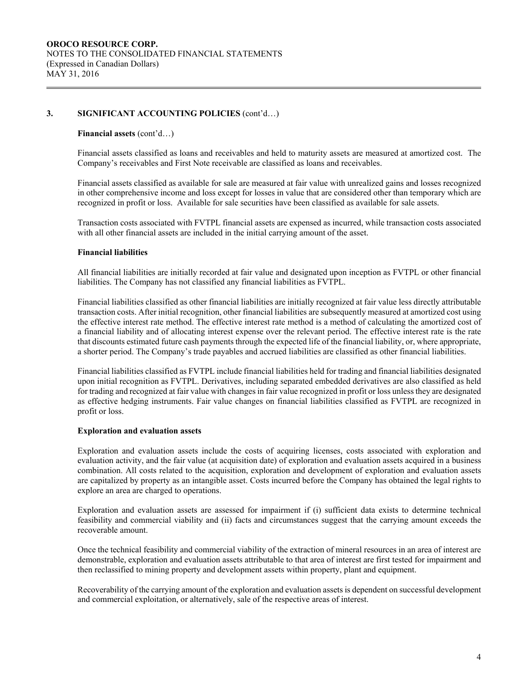# **3. SIGNIFICANT ACCOUNTING POLICIES** (cont'd…)

#### **Financial assets** (cont'd…)

Financial assets classified as loans and receivables and held to maturity assets are measured at amortized cost. The Company's receivables and First Note receivable are classified as loans and receivables.

Financial assets classified as available for sale are measured at fair value with unrealized gains and losses recognized in other comprehensive income and loss except for losses in value that are considered other than temporary which are recognized in profit or loss. Available for sale securities have been classified as available for sale assets.

Transaction costs associated with FVTPL financial assets are expensed as incurred, while transaction costs associated with all other financial assets are included in the initial carrying amount of the asset.

#### **Financial liabilities**

All financial liabilities are initially recorded at fair value and designated upon inception as FVTPL or other financial liabilities. The Company has not classified any financial liabilities as FVTPL.

Financial liabilities classified as other financial liabilities are initially recognized at fair value less directly attributable transaction costs. After initial recognition, other financial liabilities are subsequently measured at amortized cost using the effective interest rate method. The effective interest rate method is a method of calculating the amortized cost of a financial liability and of allocating interest expense over the relevant period. The effective interest rate is the rate that discounts estimated future cash payments through the expected life of the financial liability, or, where appropriate, a shorter period. The Company's trade payables and accrued liabilities are classified as other financial liabilities.

Financial liabilities classified as FVTPL include financial liabilities held for trading and financial liabilities designated upon initial recognition as FVTPL. Derivatives, including separated embedded derivatives are also classified as held for trading and recognized at fair value with changes in fair value recognized in profit or loss unless they are designated as effective hedging instruments. Fair value changes on financial liabilities classified as FVTPL are recognized in profit or loss.

#### **Exploration and evaluation assets**

Exploration and evaluation assets include the costs of acquiring licenses, costs associated with exploration and evaluation activity, and the fair value (at acquisition date) of exploration and evaluation assets acquired in a business combination. All costs related to the acquisition, exploration and development of exploration and evaluation assets are capitalized by property as an intangible asset. Costs incurred before the Company has obtained the legal rights to explore an area are charged to operations.

Exploration and evaluation assets are assessed for impairment if (i) sufficient data exists to determine technical feasibility and commercial viability and (ii) facts and circumstances suggest that the carrying amount exceeds the recoverable amount.

Once the technical feasibility and commercial viability of the extraction of mineral resources in an area of interest are demonstrable, exploration and evaluation assets attributable to that area of interest are first tested for impairment and then reclassified to mining property and development assets within property, plant and equipment.

Recoverability of the carrying amount of the exploration and evaluation assets is dependent on successful development and commercial exploitation, or alternatively, sale of the respective areas of interest.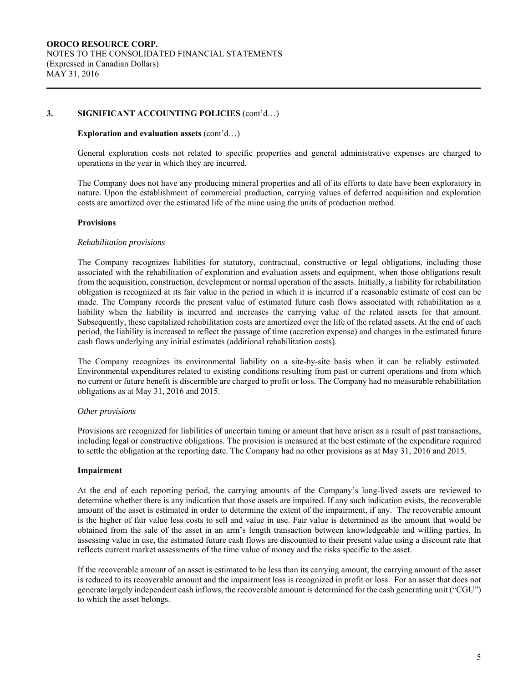# 3. SIGNIFICANT ACCOUNTING POLICIES (cont'd...)

#### **Exploration and evaluation assets** (cont'd…)

General exploration costs not related to specific properties and general administrative expenses are charged to operations in the year in which they are incurred.

The Company does not have any producing mineral properties and all of its efforts to date have been exploratory in nature. Upon the establishment of commercial production, carrying values of deferred acquisition and exploration costs are amortized over the estimated life of the mine using the units of production method.

#### **Provisions**

#### *Rehabilitation provisions*

The Company recognizes liabilities for statutory, contractual, constructive or legal obligations, including those associated with the rehabilitation of exploration and evaluation assets and equipment, when those obligations result from the acquisition, construction, development or normal operation of the assets. Initially, a liability for rehabilitation obligation is recognized at its fair value in the period in which it is incurred if a reasonable estimate of cost can be made. The Company records the present value of estimated future cash flows associated with rehabilitation as a liability when the liability is incurred and increases the carrying value of the related assets for that amount. Subsequently, these capitalized rehabilitation costs are amortized over the life of the related assets. At the end of each period, the liability is increased to reflect the passage of time (accretion expense) and changes in the estimated future cash flows underlying any initial estimates (additional rehabilitation costs).

The Company recognizes its environmental liability on a site-by-site basis when it can be reliably estimated. Environmental expenditures related to existing conditions resulting from past or current operations and from which no current or future benefit is discernible are charged to profit or loss. The Company had no measurable rehabilitation obligations as at May 31, 2016 and 2015.

## *Other provisions*

Provisions are recognized for liabilities of uncertain timing or amount that have arisen as a result of past transactions, including legal or constructive obligations. The provision is measured at the best estimate of the expenditure required to settle the obligation at the reporting date. The Company had no other provisions as at May 31, 2016 and 2015.

#### **Impairment**

At the end of each reporting period, the carrying amounts of the Company's long-lived assets are reviewed to determine whether there is any indication that those assets are impaired. If any such indication exists, the recoverable amount of the asset is estimated in order to determine the extent of the impairment, if any. The recoverable amount is the higher of fair value less costs to sell and value in use. Fair value is determined as the amount that would be obtained from the sale of the asset in an arm's length transaction between knowledgeable and willing parties. In assessing value in use, the estimated future cash flows are discounted to their present value using a discount rate that reflects current market assessments of the time value of money and the risks specific to the asset.

If the recoverable amount of an asset is estimated to be less than its carrying amount, the carrying amount of the asset is reduced to its recoverable amount and the impairment loss is recognized in profit or loss. For an asset that does not generate largely independent cash inflows, the recoverable amount is determined for the cash generating unit ("CGU") to which the asset belongs.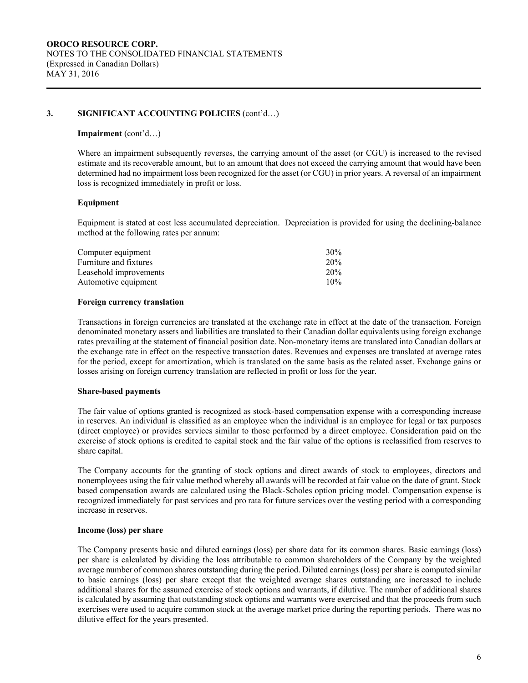# **3. SIGNIFICANT ACCOUNTING POLICIES** (cont'd…)

#### **Impairment** (cont'd…)

Where an impairment subsequently reverses, the carrying amount of the asset (or CGU) is increased to the revised estimate and its recoverable amount, but to an amount that does not exceed the carrying amount that would have been determined had no impairment loss been recognized for the asset (or CGU) in prior years. A reversal of an impairment loss is recognized immediately in profit or loss.

#### **Equipment**

Equipment is stated at cost less accumulated depreciation. Depreciation is provided for using the declining-balance method at the following rates per annum:

| Computer equipment     | $30\%$          |
|------------------------|-----------------|
| Furniture and fixtures | 20%             |
| Leasehold improvements | 20 <sup>%</sup> |
| Automotive equipment   | $10\%$          |

#### **Foreign currency translation**

Transactions in foreign currencies are translated at the exchange rate in effect at the date of the transaction. Foreign denominated monetary assets and liabilities are translated to their Canadian dollar equivalents using foreign exchange rates prevailing at the statement of financial position date. Non-monetary items are translated into Canadian dollars at the exchange rate in effect on the respective transaction dates. Revenues and expenses are translated at average rates for the period, except for amortization, which is translated on the same basis as the related asset. Exchange gains or losses arising on foreign currency translation are reflected in profit or loss for the year.

## **Share-based payments**

The fair value of options granted is recognized as stock-based compensation expense with a corresponding increase in reserves. An individual is classified as an employee when the individual is an employee for legal or tax purposes (direct employee) or provides services similar to those performed by a direct employee. Consideration paid on the exercise of stock options is credited to capital stock and the fair value of the options is reclassified from reserves to share capital.

The Company accounts for the granting of stock options and direct awards of stock to employees, directors and nonemployees using the fair value method whereby all awards will be recorded at fair value on the date of grant. Stock based compensation awards are calculated using the Black-Scholes option pricing model. Compensation expense is recognized immediately for past services and pro rata for future services over the vesting period with a corresponding increase in reserves.

#### **Income (loss) per share**

The Company presents basic and diluted earnings (loss) per share data for its common shares. Basic earnings (loss) per share is calculated by dividing the loss attributable to common shareholders of the Company by the weighted average number of common shares outstanding during the period. Diluted earnings (loss) per share is computed similar to basic earnings (loss) per share except that the weighted average shares outstanding are increased to include additional shares for the assumed exercise of stock options and warrants, if dilutive. The number of additional shares is calculated by assuming that outstanding stock options and warrants were exercised and that the proceeds from such exercises were used to acquire common stock at the average market price during the reporting periods. There was no dilutive effect for the years presented.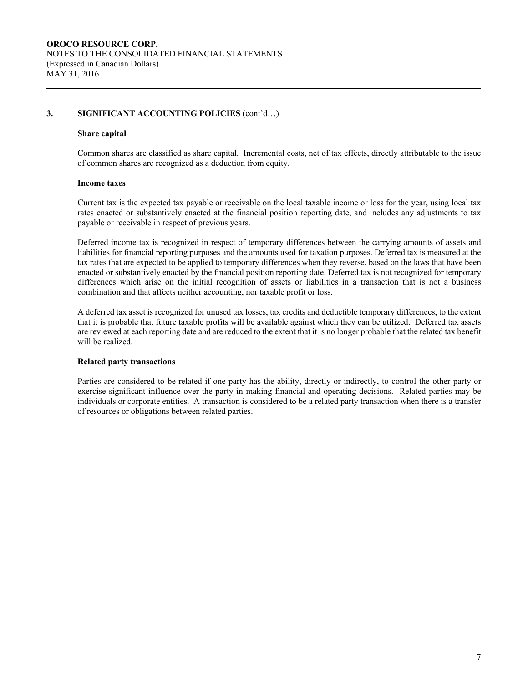# **3. SIGNIFICANT ACCOUNTING POLICIES** (cont'd…)

#### **Share capital**

Common shares are classified as share capital. Incremental costs, net of tax effects, directly attributable to the issue of common shares are recognized as a deduction from equity.

#### **Income taxes**

Current tax is the expected tax payable or receivable on the local taxable income or loss for the year, using local tax rates enacted or substantively enacted at the financial position reporting date, and includes any adjustments to tax payable or receivable in respect of previous years.

Deferred income tax is recognized in respect of temporary differences between the carrying amounts of assets and liabilities for financial reporting purposes and the amounts used for taxation purposes. Deferred tax is measured at the tax rates that are expected to be applied to temporary differences when they reverse, based on the laws that have been enacted or substantively enacted by the financial position reporting date. Deferred tax is not recognized for temporary differences which arise on the initial recognition of assets or liabilities in a transaction that is not a business combination and that affects neither accounting, nor taxable profit or loss.

A deferred tax asset is recognized for unused tax losses, tax credits and deductible temporary differences, to the extent that it is probable that future taxable profits will be available against which they can be utilized. Deferred tax assets are reviewed at each reporting date and are reduced to the extent that it is no longer probable that the related tax benefit will be realized.

## **Related party transactions**

Parties are considered to be related if one party has the ability, directly or indirectly, to control the other party or exercise significant influence over the party in making financial and operating decisions. Related parties may be individuals or corporate entities. A transaction is considered to be a related party transaction when there is a transfer of resources or obligations between related parties.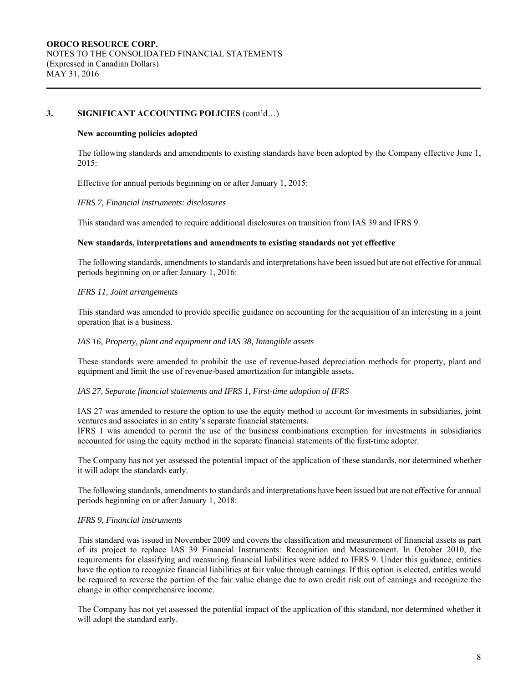## 3. SIGNIFICANT ACCOUNTING POLICIES (cont'd...)

#### **New accounting policies adopted**

The following standards and amendments to existing standards have been adopted by the Company effective June 1, 2015:

Effective for annual periods beginning on or after January 1, 2015:

#### *IFRS 7, Financial instruments: disclosures*

This standard was amended to require additional disclosures on transition from IAS 39 and IFRS 9.

#### **New standards, interpretations and amendments to existing standards not yet effective**

The following standards, amendments to standards and interpretations have been issued but are not effective for annual periods beginning on or after January 1, 2016:

## *IFRS 11, Joint arrangements*

This standard was amended to provide specific guidance on accounting for the acquisition of an interesting in a joint operation that is a business.

#### *IAS 16, Property, plant and equipment and IAS 38, Intangible assets*

These standards were amended to prohibit the use of revenue-based depreciation methods for property, plant and equipment and limit the use of revenue-based amortization for intangible assets.

#### *IAS 27, Separate financial statements and IFRS 1, First-time adoption of IFRS*

IAS 27 was amended to restore the option to use the equity method to account for investments in subsidiaries, joint ventures and associates in an entity's separate financial statements.

IFRS 1 was amended to permit the use of the business combinations exemption for investments in subsidiaries accounted for using the equity method in the separate financial statements of the first-time adopter.

The Company has not yet assessed the potential impact of the application of these standards, nor determined whether it will adopt the standards early.

The following standards, amendments to standards and interpretations have been issued but are not effective for annual periods beginning on or after January 1, 2018:

#### *IFRS 9, Financial instruments*

This standard was issued in November 2009 and covers the classification and measurement of financial assets as part of its project to replace IAS 39 Financial Instruments: Recognition and Measurement. In October 2010, the requirements for classifying and measuring financial liabilities were added to IFRS 9. Under this guidance, entities have the option to recognize financial liabilities at fair value through earnings. If this option is elected, entitles would be required to reverse the portion of the fair value change due to own credit risk out of earnings and recognize the change in other comprehensive income.

The Company has not yet assessed the potential impact of the application of this standard, nor determined whether it will adopt the standard early.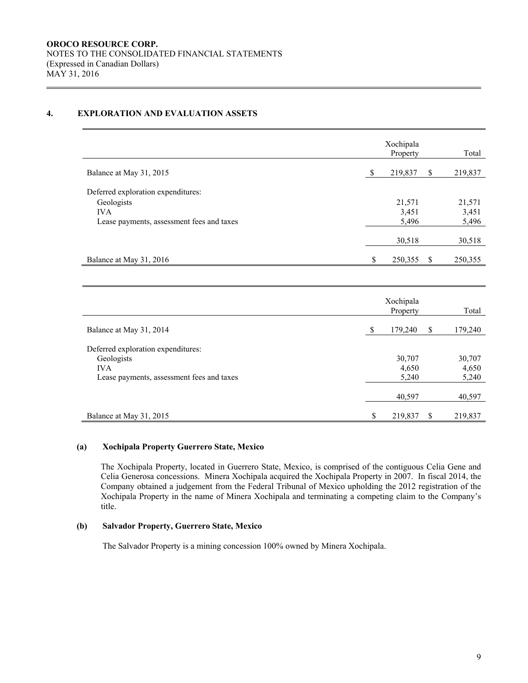# **4. EXPLORATION AND EVALUATION ASSETS**

|                                                         |              | Xochipala<br>Property |    | Total          |
|---------------------------------------------------------|--------------|-----------------------|----|----------------|
| Balance at May 31, 2015                                 | <sup>S</sup> | 219,837               | \$ | 219,837        |
| Deferred exploration expenditures:                      |              |                       |    |                |
| Geologists                                              |              | 21,571                |    | 21,571         |
| <b>IVA</b><br>Lease payments, assessment fees and taxes |              | 3,451<br>5,496        |    | 3,451<br>5,496 |
|                                                         |              | 30,518                |    | 30,518         |
|                                                         |              |                       |    |                |
| Balance at May 31, 2016                                 | \$           | 250,355 \$            |    | 250,355        |
|                                                         |              |                       |    |                |
|                                                         |              | Xochipala             |    |                |
|                                                         |              | Property              |    | Total          |
| Balance at May 21 2014                                  | ¢            | 170.240               | ¢  | 170.240        |

| Dalallul at IVIAY $J_1, L_2$              | Φ | 17.270  | Ψ | 17,27U  |
|-------------------------------------------|---|---------|---|---------|
|                                           |   |         |   |         |
| Deferred exploration expenditures:        |   |         |   |         |
| Geologists                                |   | 30,707  |   | 30,707  |
| <b>IVA</b>                                |   | 4,650   |   | 4,650   |
| Lease payments, assessment fees and taxes |   | 5,240   |   | 5,240   |
|                                           |   |         |   |         |
|                                           |   | 40.597  |   | 40,597  |
|                                           |   |         |   |         |
| Balance at May 31, 2015                   | S | 219,837 | S | 219,837 |

## **(a) Xochipala Property Guerrero State, Mexico**

The Xochipala Property, located in Guerrero State, Mexico, is comprised of the contiguous Celia Gene and Celia Generosa concessions. Minera Xochipala acquired the Xochipala Property in 2007. In fiscal 2014, the Company obtained a judgement from the Federal Tribunal of Mexico upholding the 2012 registration of the Xochipala Property in the name of Minera Xochipala and terminating a competing claim to the Company's title.

## **(b) Salvador Property, Guerrero State, Mexico**

The Salvador Property is a mining concession 100% owned by Minera Xochipala.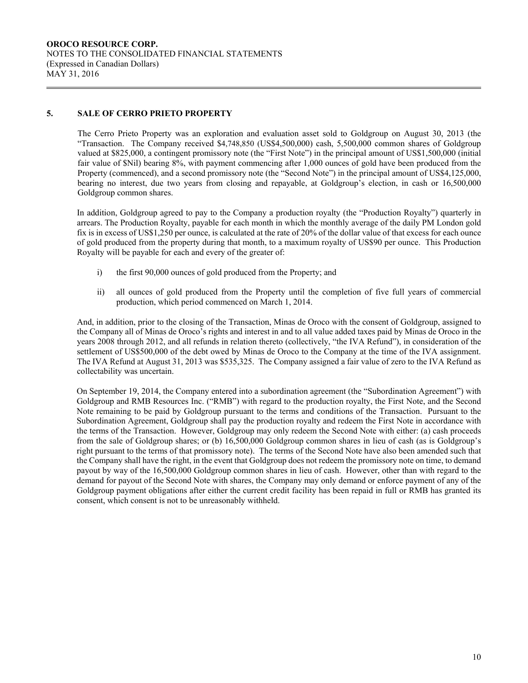# **5. SALE OF CERRO PRIETO PROPERTY**

The Cerro Prieto Property was an exploration and evaluation asset sold to Goldgroup on August 30, 2013 (the "Transaction. The Company received \$4,748,850 (US\$4,500,000) cash, 5,500,000 common shares of Goldgroup valued at \$825,000, a contingent promissory note (the "First Note") in the principal amount of US\$1,500,000 (initial fair value of \$Nil) bearing 8%, with payment commencing after 1,000 ounces of gold have been produced from the Property (commenced), and a second promissory note (the "Second Note") in the principal amount of US\$4,125,000, bearing no interest, due two years from closing and repayable, at Goldgroup's election, in cash or 16,500,000 Goldgroup common shares.

In addition, Goldgroup agreed to pay to the Company a production royalty (the "Production Royalty") quarterly in arrears. The Production Royalty, payable for each month in which the monthly average of the daily PM London gold fix is in excess of US\$1,250 per ounce, is calculated at the rate of 20% of the dollar value of that excess for each ounce of gold produced from the property during that month, to a maximum royalty of US\$90 per ounce. This Production Royalty will be payable for each and every of the greater of:

- i) the first 90,000 ounces of gold produced from the Property; and
- ii) all ounces of gold produced from the Property until the completion of five full years of commercial production, which period commenced on March 1, 2014.

And, in addition, prior to the closing of the Transaction, Minas de Oroco with the consent of Goldgroup, assigned to the Company all of Minas de Oroco's rights and interest in and to all value added taxes paid by Minas de Oroco in the years 2008 through 2012, and all refunds in relation thereto (collectively, "the IVA Refund"), in consideration of the settlement of US\$500,000 of the debt owed by Minas de Oroco to the Company at the time of the IVA assignment. The IVA Refund at August 31, 2013 was \$535,325. The Company assigned a fair value of zero to the IVA Refund as collectability was uncertain.

On September 19, 2014, the Company entered into a subordination agreement (the "Subordination Agreement") with Goldgroup and RMB Resources Inc. ("RMB") with regard to the production royalty, the First Note, and the Second Note remaining to be paid by Goldgroup pursuant to the terms and conditions of the Transaction. Pursuant to the Subordination Agreement, Goldgroup shall pay the production royalty and redeem the First Note in accordance with the terms of the Transaction. However, Goldgroup may only redeem the Second Note with either: (a) cash proceeds from the sale of Goldgroup shares; or (b) 16,500,000 Goldgroup common shares in lieu of cash (as is Goldgroup's right pursuant to the terms of that promissory note). The terms of the Second Note have also been amended such that the Company shall have the right, in the event that Goldgroup does not redeem the promissory note on time, to demand payout by way of the 16,500,000 Goldgroup common shares in lieu of cash. However, other than with regard to the demand for payout of the Second Note with shares, the Company may only demand or enforce payment of any of the Goldgroup payment obligations after either the current credit facility has been repaid in full or RMB has granted its consent, which consent is not to be unreasonably withheld.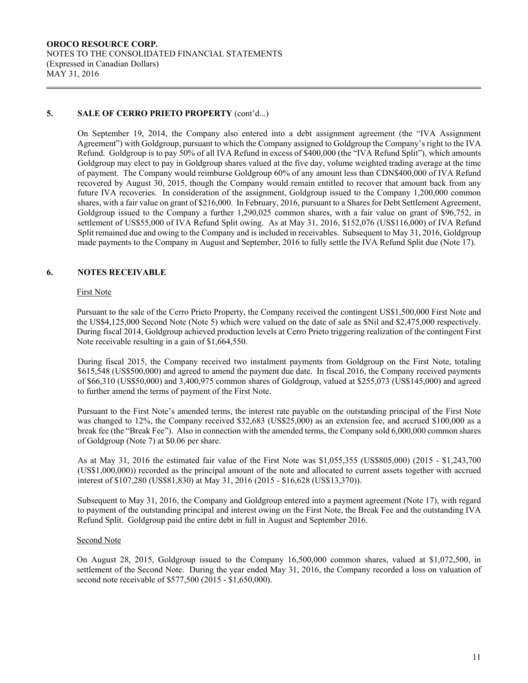# **5. SALE OF CERRO PRIETO PROPERTY** (cont'd...)

On September 19, 2014, the Company also entered into a debt assignment agreement (the "IVA Assignment Agreement") with Goldgroup, pursuant to which the Company assigned to Goldgroup the Company's right to the IVA Refund. Goldgroup is to pay 50% of all IVA Refund in excess of \$400,000 (the "IVA Refund Split"), which amounts Goldgroup may elect to pay in Goldgroup shares valued at the five day, volume weighted trading average at the time of payment. The Company would reimburse Goldgroup 60% of any amount less than CDN\$400,000 of IVA Refund recovered by August 30, 2015, though the Company would remain entitled to recover that amount back from any future IVA recoveries. In consideration of the assignment, Goldgroup issued to the Company 1,200,000 common shares, with a fair value on grant of \$216,000. In February, 2016, pursuant to a Shares for Debt Settlement Agreement, Goldgroup issued to the Company a further 1,290,025 common shares, with a fair value on grant of \$96,752, in settlement of US\$55,000 of IVA Refund Split owing. As at May 31, 2016, \$152,076 (US\$116,000) of IVA Refund Split remained due and owing to the Company and is included in receivables. Subsequent to May 31, 2016, Goldgroup made payments to the Company in August and September, 2016 to fully settle the IVA Refund Split due (Note 17).

# **6. NOTES RECEIVABLE**

#### First Note

Pursuant to the sale of the Cerro Prieto Property, the Company received the contingent US\$1,500,000 First Note and the US\$4,125,000 Second Note (Note 5) which were valued on the date of sale as \$Nil and \$2,475,000 respectively. During fiscal 2014, Goldgroup achieved production levels at Cerro Prieto triggering realization of the contingent First Note receivable resulting in a gain of \$1,664,550.

During fiscal 2015, the Company received two instalment payments from Goldgroup on the First Note, totaling \$615,548 (US\$500,000) and agreed to amend the payment due date. In fiscal 2016, the Company received payments of \$66,310 (US\$50,000) and 3,400,975 common shares of Goldgroup, valued at \$255,073 (US\$145,000) and agreed to further amend the terms of payment of the First Note.

Pursuant to the First Note's amended terms, the interest rate payable on the outstanding principal of the First Note was changed to 12%, the Company received \$32,683 (US\$25,000) as an extension fee, and accrued \$100,000 as a break fee (the "Break Fee"). Also in connection with the amended terms, the Company sold 6,000,000 common shares of Goldgroup (Note 7) at \$0.06 per share.

As at May 31, 2016 the estimated fair value of the First Note was \$1,055,355 (US\$805,000) (2015 - \$1,243,700 (US\$1,000,000)) recorded as the principal amount of the note and allocated to current assets together with accrued interest of \$107,280 (US\$81,830) at May 31, 2016 (2015 - \$16,628 (US\$13,370)).

Subsequent to May 31, 2016, the Company and Goldgroup entered into a payment agreement (Note 17), with regard to payment of the outstanding principal and interest owing on the First Note, the Break Fee and the outstanding IVA Refund Split. Goldgroup paid the entire debt in full in August and September 2016.

#### Second Note

On August 28, 2015, Goldgroup issued to the Company 16,500,000 common shares, valued at \$1,072,500, in settlement of the Second Note. During the year ended May 31, 2016, the Company recorded a loss on valuation of second note receivable of \$577,500 (2015 - \$1,650,000).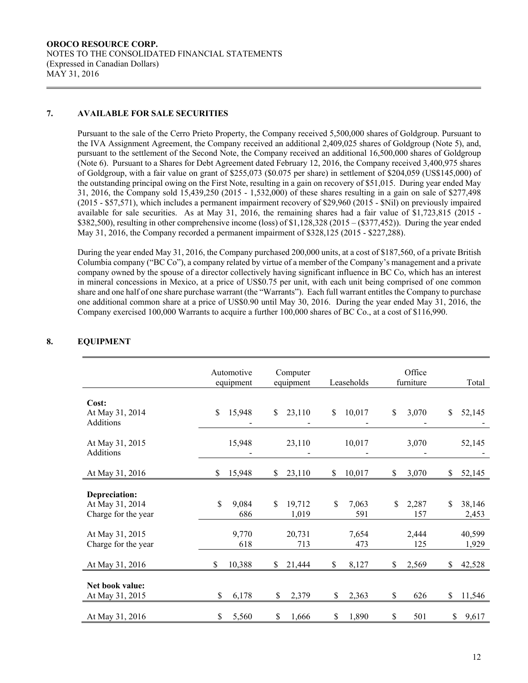# **7. AVAILABLE FOR SALE SECURITIES**

Pursuant to the sale of the Cerro Prieto Property, the Company received 5,500,000 shares of Goldgroup. Pursuant to the IVA Assignment Agreement, the Company received an additional 2,409,025 shares of Goldgroup (Note 5), and, pursuant to the settlement of the Second Note, the Company received an additional 16,500,000 shares of Goldgroup (Note 6). Pursuant to a Shares for Debt Agreement dated February 12, 2016, the Company received 3,400,975 shares of Goldgroup, with a fair value on grant of \$255,073 (\$0.075 per share) in settlement of \$204,059 (US\$145,000) of the outstanding principal owing on the First Note, resulting in a gain on recovery of \$51,015. During year ended May 31, 2016, the Company sold 15,439,250 (2015 - 1,532,000) of these shares resulting in a gain on sale of \$277,498 (2015 - \$57,571), which includes a permanent impairment recovery of \$29,960 (2015 - \$Nil) on previously impaired available for sale securities. As at May 31, 2016, the remaining shares had a fair value of \$1,723,815 (2015 - \$382,500), resulting in other comprehensive income (loss) of \$1,128,328 (2015 – (\$377,452)). During the year ended May 31, 2016, the Company recorded a permanent impairment of \$328,125 (2015 - \$227,288).

During the year ended May 31, 2016, the Company purchased 200,000 units, at a cost of \$187,560, of a private British Columbia company ("BC Co"), a company related by virtue of a member of the Company's management and a private company owned by the spouse of a director collectively having significant influence in BC Co, which has an interest in mineral concessions in Mexico, at a price of US\$0.75 per unit, with each unit being comprised of one common share and one half of one share purchase warrant (the "Warrants"). Each full warrant entitles the Company to purchase one additional common share at a price of US\$0.90 until May 30, 2016. During the year ended May 31, 2016, the Company exercised 100,000 Warrants to acquire a further 100,000 shares of BC Co., at a cost of \$116,990.

|                                              | Automotive<br>equipment | Computer<br>equipment | Leaseholds             | Office<br>furniture    | Total                  |
|----------------------------------------------|-------------------------|-----------------------|------------------------|------------------------|------------------------|
| Cost:<br>At May 31, 2014<br><b>Additions</b> | \$<br>15,948            | \$<br>23,110          | $\mathbb{S}$<br>10,017 | $\mathcal{S}$<br>3,070 | $\mathbb{S}$<br>52,145 |
| At May 31, 2015<br>Additions                 | 15,948                  | 23,110                | 10,017                 | 3,070                  | 52,145                 |
| At May 31, 2016                              | \$                      | \$                    | \$                     | \$                     | \$                     |
|                                              | 15,948                  | 23,110                | 10,017                 | 3,070                  | 52,145                 |
| Depreciation:                                | $\mathcal{S}$           | \$                    | \$                     | \$                     | \$                     |
| At May 31, 2014                              | 9,084                   | 19,712                | 7,063                  | 2,287                  | 38,146                 |
| Charge for the year                          | 686                     | 1,019                 | 591                    | 157                    | 2,453                  |
| At May 31, 2015                              | 9,770                   | 20,731                | 7,654                  | 2,444                  | 40,599                 |
| Charge for the year                          | 618                     | 713                   | 473                    | 125                    | 1,929                  |
| At May 31, 2016                              | \$                      | \$                    | \$                     | \$                     | \$                     |
|                                              | 10,388                  | 21,444                | 8,127                  | 2,569                  | 42,528                 |
| Net book value:                              | \$                      | \$                    | \$                     | \$                     | \$                     |
| At May 31, 2015                              | 6,178                   | 2,379                 | 2,363                  | 626                    | 11,546                 |
| At May 31, 2016                              | \$                      | \$                    | \$                     | \$                     | \$                     |
|                                              | 5,560                   | 1,666                 | 1,890                  | 501                    | 9,617                  |

## **8. EQUIPMENT**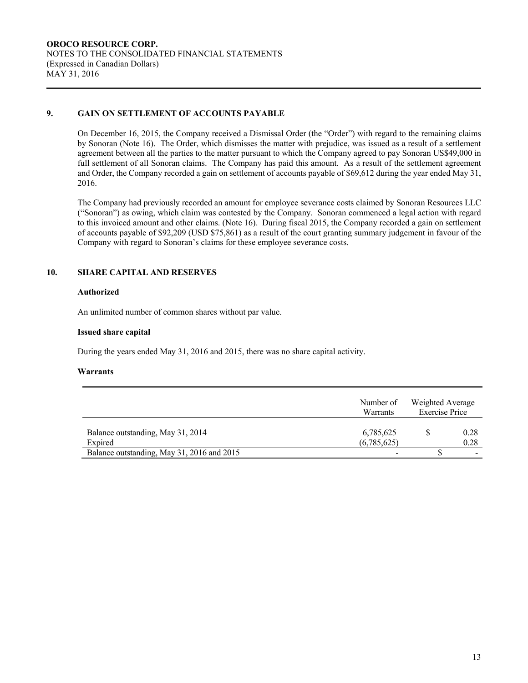# **9. GAIN ON SETTLEMENT OF ACCOUNTS PAYABLE**

On December 16, 2015, the Company received a Dismissal Order (the "Order") with regard to the remaining claims by Sonoran (Note 16). The Order, which dismisses the matter with prejudice, was issued as a result of a settlement agreement between all the parties to the matter pursuant to which the Company agreed to pay Sonoran US\$49,000 in full settlement of all Sonoran claims. The Company has paid this amount. As a result of the settlement agreement and Order, the Company recorded a gain on settlement of accounts payable of \$69,612 during the year ended May 31, 2016.

The Company had previously recorded an amount for employee severance costs claimed by Sonoran Resources LLC ("Sonoran") as owing, which claim was contested by the Company. Sonoran commenced a legal action with regard to this invoiced amount and other claims. (Note 16). During fiscal 2015, the Company recorded a gain on settlement of accounts payable of \$92,209 (USD \$75,861) as a result of the court granting summary judgement in favour of the Company with regard to Sonoran's claims for these employee severance costs.

# **10. SHARE CAPITAL AND RESERVES**

#### **Authorized**

An unlimited number of common shares without par value.

#### **Issued share capital**

During the years ended May 31, 2016 and 2015, there was no share capital activity.

## **Warrants**

|                                              | Number of<br><b>Warrants</b> | Weighted Average<br><b>Exercise Price</b> |              |  |
|----------------------------------------------|------------------------------|-------------------------------------------|--------------|--|
| Balance outstanding, May 31, 2014<br>Expired | 6,785,625<br>(6,785,625)     |                                           | 0.28<br>0.28 |  |
| Balance outstanding, May 31, 2016 and 2015   |                              |                                           |              |  |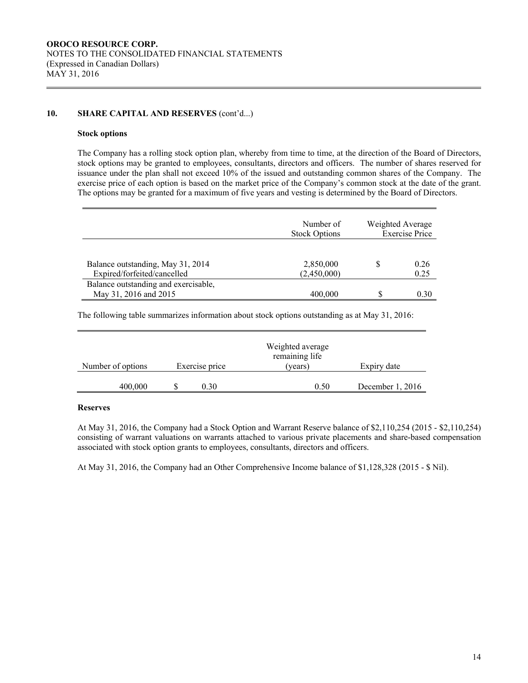# 10. **SHARE CAPITAL AND RESERVES** (cont'd...)

#### **Stock options**

The Company has a rolling stock option plan, whereby from time to time, at the direction of the Board of Directors, stock options may be granted to employees, consultants, directors and officers. The number of shares reserved for issuance under the plan shall not exceed 10% of the issued and outstanding common shares of the Company. The exercise price of each option is based on the market price of the Company's common stock at the date of the grant. The options may be granted for a maximum of five years and vesting is determined by the Board of Directors.

|                                                                  | Number of<br><b>Stock Options</b> |    | Weighted Average<br><b>Exercise Price</b> |
|------------------------------------------------------------------|-----------------------------------|----|-------------------------------------------|
| Balance outstanding, May 31, 2014<br>Expired/forfeited/cancelled | 2,850,000<br>(2,450,000)          |    | 0.26<br>0.25                              |
| Balance outstanding and exercisable,<br>May 31, 2016 and 2015    | 400,000                           | J. | 0.30                                      |

The following table summarizes information about stock options outstanding as at May 31, 2016:

|                   | Weighted average<br>remaining life |         |                  |
|-------------------|------------------------------------|---------|------------------|
| Number of options | Exercise price                     | (years) | Expiry date      |
| 400,000           | 0.30                               | 0.50    | December 1, 2016 |

#### **Reserves**

At May 31, 2016, the Company had a Stock Option and Warrant Reserve balance of \$2,110,254 (2015 - \$2,110,254) consisting of warrant valuations on warrants attached to various private placements and share-based compensation associated with stock option grants to employees, consultants, directors and officers.

At May 31, 2016, the Company had an Other Comprehensive Income balance of \$1,128,328 (2015 - \$ Nil).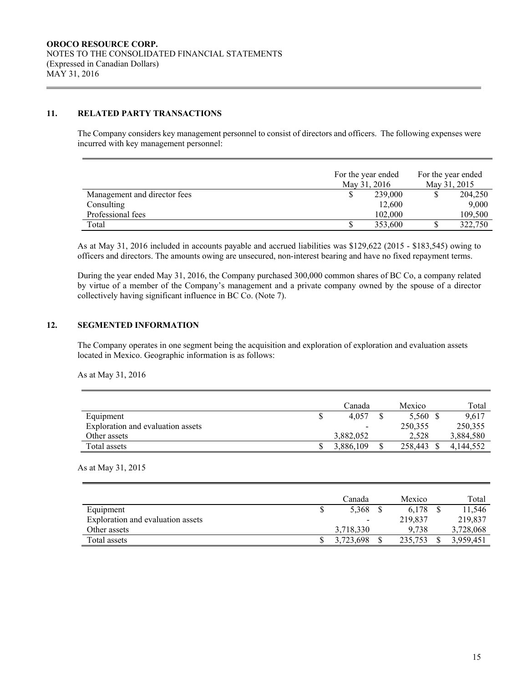## **11. RELATED PARTY TRANSACTIONS**

The Company considers key management personnel to consist of directors and officers. The following expenses were incurred with key management personnel:

|                              | For the year ended<br>May 31, 2016 |  | For the year ended<br>May 31, 2015 |
|------------------------------|------------------------------------|--|------------------------------------|
| Management and director fees | 239,000                            |  | 204,250                            |
| Consulting                   | 12,600                             |  | 9,000                              |
| Professional fees            | 102,000                            |  | 109,500                            |
| Total                        | 353,600                            |  | 322,750                            |

As at May 31, 2016 included in accounts payable and accrued liabilities was \$129,622 (2015 - \$183,545) owing to officers and directors. The amounts owing are unsecured, non-interest bearing and have no fixed repayment terms.

During the year ended May 31, 2016, the Company purchased 300,000 common shares of BC Co, a company related by virtue of a member of the Company's management and a private company owned by the spouse of a director collectively having significant influence in BC Co. (Note 7).

#### **12. SEGMENTED INFORMATION**

The Company operates in one segment being the acquisition and exploration of exploration and evaluation assets located in Mexico. Geographic information is as follows:

As at May 31, 2016

|                                   | Canada    | Mexico   | Total     |
|-----------------------------------|-----------|----------|-----------|
| Equipment                         | 4.057     | 5,560 \$ | 9,617     |
| Exploration and evaluation assets |           | 250,355  | 250,355   |
| Other assets                      | 3,882,052 | 2.528    | 3,884,580 |
| Total assets                      | 3.886.109 | 258,443  | 4.144.552 |

As at May 31, 2015

|                                   | Canada                   | Mexico  | Total     |
|-----------------------------------|--------------------------|---------|-----------|
| Equipment                         | 5,368                    | 6.178   | 11,546    |
| Exploration and evaluation assets | $\overline{\phantom{a}}$ | 219,837 | 219,837   |
| Other assets                      | 3,718,330                | 9.738   | 3,728,068 |
| Total assets                      | 3.723.698                | 235,753 | 3.959.451 |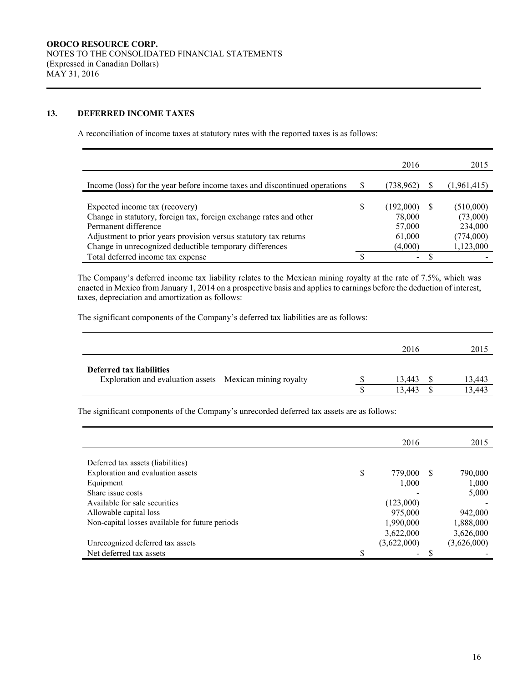# **13. DEFERRED INCOME TAXES**

A reconciliation of income taxes at statutory rates with the reported taxes is as follows:

|                                                                            | 2016           |   | 2015        |
|----------------------------------------------------------------------------|----------------|---|-------------|
| Income (loss) for the year before income taxes and discontinued operations | (738.962)      |   | (1,961,415) |
| Expected income tax (recovery)                                             | (192,000)      | S | (510,000)   |
| Change in statutory, foreign tax, foreign exchange rates and other         | 78,000         |   | (73,000)    |
| Permanent difference                                                       | 57,000         |   | 234,000     |
| Adjustment to prior years provision versus statutory tax returns           | 61,000         |   | (774,000)   |
| Change in unrecognized deductible temporary differences                    | (4,000)        |   | 1,123,000   |
| Total deferred income tax expense                                          | $\blacksquare$ |   |             |

The Company's deferred income tax liability relates to the Mexican mining royalty at the rate of 7.5%, which was enacted in Mexico from January 1, 2014 on a prospective basis and applies to earnings before the deduction of interest, taxes, depreciation and amortization as follows:

The significant components of the Company's deferred tax liabilities are as follows:

|                                                                                        | 2016             | 2015             |
|----------------------------------------------------------------------------------------|------------------|------------------|
| Deferred tax liabilities<br>Exploration and evaluation assets – Mexican mining royalty | 13.443<br>13.443 | 13,443<br>13,443 |

The significant components of the Company's unrecorded deferred tax assets are as follows:

|                                                 |    | 2016           |    | 2015        |
|-------------------------------------------------|----|----------------|----|-------------|
|                                                 |    |                |    |             |
| Deferred tax assets (liabilities)               |    |                |    |             |
| Exploration and evaluation assets               | S  | 779,000        | -S | 790,000     |
| Equipment                                       |    | 1,000          |    | 1,000       |
| Share issue costs                               |    |                |    | 5,000       |
| Available for sale securities                   |    | (123,000)      |    |             |
| Allowable capital loss                          |    | 975,000        |    | 942,000     |
| Non-capital losses available for future periods |    | 1,990,000      |    | 1,888,000   |
|                                                 |    | 3,622,000      |    | 3,626,000   |
| Unrecognized deferred tax assets                |    | (3,622,000)    |    | (3,626,000) |
| Net deferred tax assets                         | \$ | $\blacksquare$ |    |             |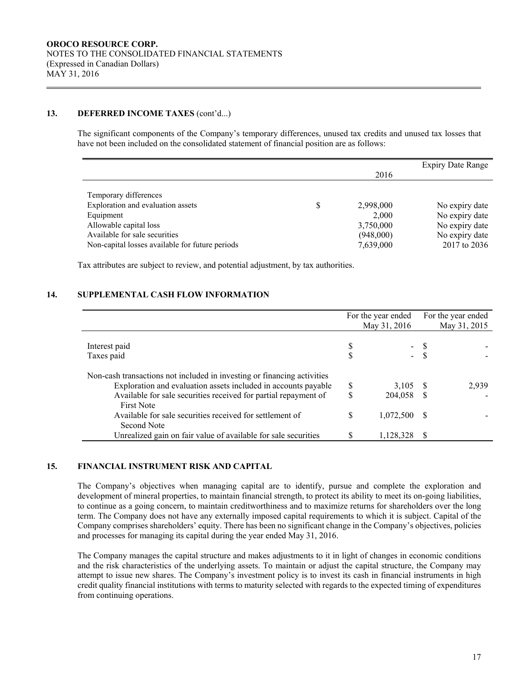## **13. DEFERRED INCOME TAXES** (cont'd...)

The significant components of the Company's temporary differences, unused tax credits and unused tax losses that have not been included on the consolidated statement of financial position are as follows:

|                                                 |           | <b>Expiry Date Range</b> |
|-------------------------------------------------|-----------|--------------------------|
|                                                 | 2016      |                          |
|                                                 |           |                          |
| Temporary differences                           |           |                          |
| Exploration and evaluation assets               | 2,998,000 | No expiry date           |
| Equipment                                       | 2,000     | No expiry date           |
| Allowable capital loss                          | 3,750,000 | No expiry date           |
| Available for sale securities                   | (948,000) | No expiry date           |
| Non-capital losses available for future periods | 7,639,000 | 2017 to 2036             |

Tax attributes are subject to review, and potential adjustment, by tax authorities.

# **14. SUPPLEMENTAL CASH FLOW INFORMATION**

|                                                                                      | For the year ended |            |      | For the year ended |
|--------------------------------------------------------------------------------------|--------------------|------------|------|--------------------|
|                                                                                      | May 31, 2016       |            |      | May 31, 2015       |
| Interest paid<br>Taxes paid                                                          | S                  |            | - \$ |                    |
| Non-cash transactions not included in investing or financing activities              |                    |            |      |                    |
| Exploration and evaluation assets included in accounts payable                       | S                  | $3,105$ \$ |      | 2,939              |
| Available for sale securities received for partial repayment of<br><b>First Note</b> |                    | 204,058    |      |                    |
| Available for sale securities received for settlement of<br>Second Note              | S                  | 1,072,500  | -S   |                    |
| Unrealized gain on fair value of available for sale securities                       |                    | 1.128.328  |      |                    |

## **15. FINANCIAL INSTRUMENT RISK AND CAPITAL**

The Company's objectives when managing capital are to identify, pursue and complete the exploration and development of mineral properties, to maintain financial strength, to protect its ability to meet its on-going liabilities, to continue as a going concern, to maintain creditworthiness and to maximize returns for shareholders over the long term. The Company does not have any externally imposed capital requirements to which it is subject. Capital of the Company comprises shareholders' equity. There has been no significant change in the Company's objectives, policies and processes for managing its capital during the year ended May 31, 2016.

The Company manages the capital structure and makes adjustments to it in light of changes in economic conditions and the risk characteristics of the underlying assets. To maintain or adjust the capital structure, the Company may attempt to issue new shares. The Company's investment policy is to invest its cash in financial instruments in high credit quality financial institutions with terms to maturity selected with regards to the expected timing of expenditures from continuing operations.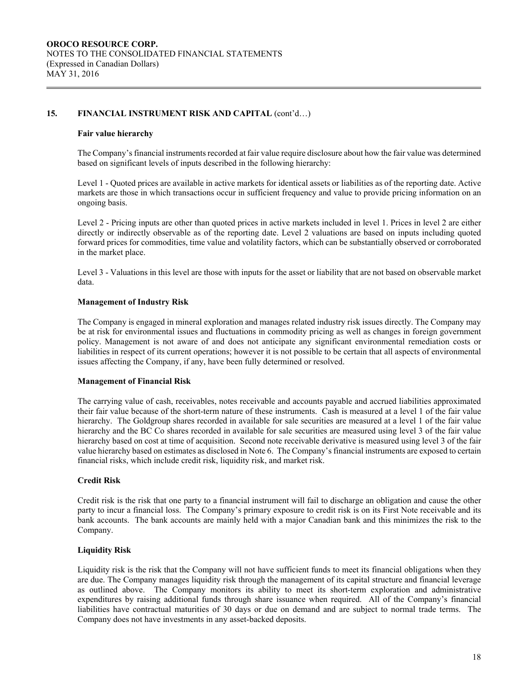## 15. FINANCIAL INSTRUMENT RISK AND CAPITAL (cont'd...)

#### **Fair value hierarchy**

The Company's financial instruments recorded at fair value require disclosure about how the fair value was determined based on significant levels of inputs described in the following hierarchy:

Level 1 - Quoted prices are available in active markets for identical assets or liabilities as of the reporting date. Active markets are those in which transactions occur in sufficient frequency and value to provide pricing information on an ongoing basis.

Level 2 - Pricing inputs are other than quoted prices in active markets included in level 1. Prices in level 2 are either directly or indirectly observable as of the reporting date. Level 2 valuations are based on inputs including quoted forward prices for commodities, time value and volatility factors, which can be substantially observed or corroborated in the market place.

Level 3 - Valuations in this level are those with inputs for the asset or liability that are not based on observable market data.

#### **Management of Industry Risk**

The Company is engaged in mineral exploration and manages related industry risk issues directly. The Company may be at risk for environmental issues and fluctuations in commodity pricing as well as changes in foreign government policy. Management is not aware of and does not anticipate any significant environmental remediation costs or liabilities in respect of its current operations; however it is not possible to be certain that all aspects of environmental issues affecting the Company, if any, have been fully determined or resolved.

#### **Management of Financial Risk**

The carrying value of cash, receivables, notes receivable and accounts payable and accrued liabilities approximated their fair value because of the short-term nature of these instruments. Cash is measured at a level 1 of the fair value hierarchy. The Goldgroup shares recorded in available for sale securities are measured at a level 1 of the fair value hierarchy and the BC Co shares recorded in available for sale securities are measured using level 3 of the fair value hierarchy based on cost at time of acquisition. Second note receivable derivative is measured using level 3 of the fair value hierarchy based on estimates as disclosed in Note 6. The Company's financial instruments are exposed to certain financial risks, which include credit risk, liquidity risk, and market risk.

## **Credit Risk**

Credit risk is the risk that one party to a financial instrument will fail to discharge an obligation and cause the other party to incur a financial loss. The Company's primary exposure to credit risk is on its First Note receivable and its bank accounts. The bank accounts are mainly held with a major Canadian bank and this minimizes the risk to the Company.

## **Liquidity Risk**

Liquidity risk is the risk that the Company will not have sufficient funds to meet its financial obligations when they are due. The Company manages liquidity risk through the management of its capital structure and financial leverage as outlined above. The Company monitors its ability to meet its short-term exploration and administrative expenditures by raising additional funds through share issuance when required. All of the Company's financial liabilities have contractual maturities of 30 days or due on demand and are subject to normal trade terms. The Company does not have investments in any asset-backed deposits.